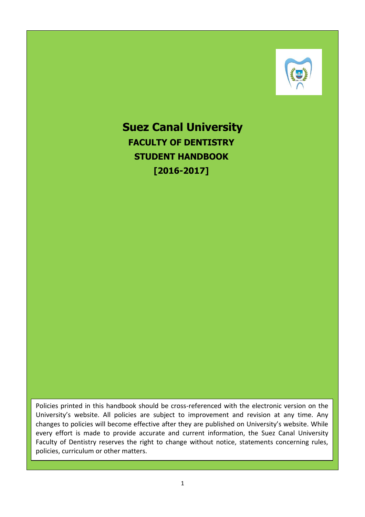

**Suez Canal University FACULTY OF DENTISTRY STUDENT HANDBOOK [2016-2017]**

Policies printed in this handbook should be cross-referenced with the electronic version on the University's website. All policies are subject to improvement and revision at any time. Any changes to policies will become effective after they are published on University's website. While every effort is made to provide accurate and current information, the Suez Canal University Faculty of Dentistry reserves the right to change without notice, statements concerning rules, policies, curriculum or other matters.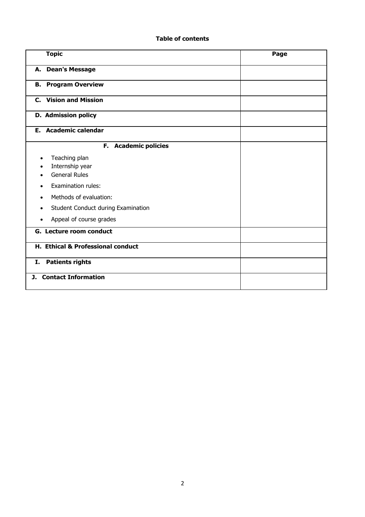## **Table of contents**

| <b>Topic</b>                                             | Page |
|----------------------------------------------------------|------|
| A. Dean's Message                                        |      |
| <b>B.</b> Program Overview                               |      |
| <b>C.</b> Vision and Mission                             |      |
| D. Admission policy                                      |      |
| E. Academic calendar                                     |      |
| F. Academic policies                                     |      |
| Teaching plan<br>Internship year<br><b>General Rules</b> |      |
| <b>Examination rules:</b>                                |      |
| Methods of evaluation:<br>$\bullet$                      |      |
| Student Conduct during Examination                       |      |
| Appeal of course grades                                  |      |
| G. Lecture room conduct                                  |      |
| <b>H. Ethical &amp; Professional conduct</b>             |      |
| <b>Patients rights</b><br>I.                             |      |
| <b>Contact Information</b><br>J.                         |      |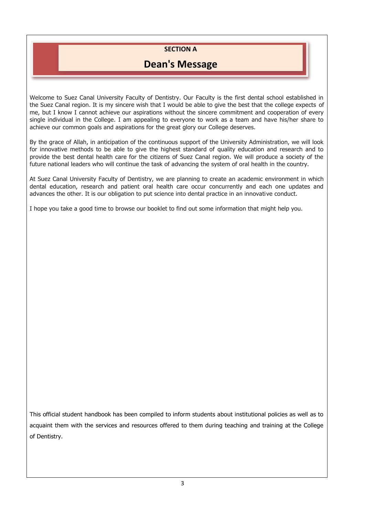# **SECTION A**

# **Dean's Message**

Welcome to Suez Canal University Faculty of Dentistry. Our Faculty is the first dental school established in the Suez Canal region. It is my sincere wish that I would be able to give the best that the college expects of me, but I know I cannot achieve our aspirations without the sincere commitment and cooperation of every single individual in the College. I am appealing to everyone to work as a team and have his/her share to achieve our common goals and aspirations for the great glory our College deserves.

By the grace of Allah, in anticipation of the continuous support of the University Administration, we will look for innovative methods to be able to give the highest standard of quality education and research and to provide the best dental health care for the citizens of Suez Canal region. We will produce a society of the future national leaders who will continue the task of advancing the system of oral health in the country.

At Suez Canal University Faculty of Dentistry, we are planning to create an academic environment in which dental education, research and patient oral health care occur concurrently and each one updates and advances the other. It is our obligation to put science into dental practice in an innovative conduct.

I hope you take a good time to browse our booklet to find out some information that might help you.

This official student handbook has been compiled to inform students about institutional policies as well as to acquaint them with the services and resources offered to them during teaching and training at the College of Dentistry.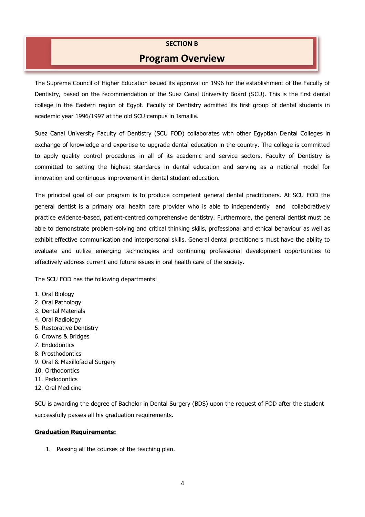## **SECTION B**

# **Program Overview**

The Supreme Council of Higher Education issued its approval on 1996 for the establishment of the Faculty of Dentistry, based on the recommendation of the Suez Canal University Board (SCU). This is the first dental college in the Eastern region of Egypt. Faculty of Dentistry admitted its first group of dental students in academic year 1996/1997 at the old SCU campus in Ismailia.

Suez Canal University Faculty of Dentistry (SCU FOD) collaborates with other Egyptian Dental Colleges in exchange of knowledge and expertise to upgrade dental education in the country. The college is committed to apply quality control procedures in all of its academic and service sectors. Faculty of Dentistry is committed to setting the highest standards in dental education and serving as a national model for innovation and continuous improvement in dental student education.

The principal goal of our program is to produce competent general dental practitioners. At SCU FOD the general dentist is a primary oral health care provider who is able to independently and collaboratively practice evidence-based, patient-centred comprehensive dentistry. Furthermore, the general dentist must be able to demonstrate problem-solving and critical thinking skills, professional and ethical behaviour as well as exhibit effective communication and interpersonal skills. General dental practitioners must have the ability to evaluate and utilize emerging technologies and continuing professional development opportunities to effectively address current and future issues in oral health care of the society.

### The SCU FOD has the following departments:

- 1. Oral Biology
- 2. Oral Pathology
- 3. Dental Materials
- 4. Oral Radiology
- 5. Restorative Dentistry
- 6. Crowns & Bridges
- 7. Endodontics
- 8. Prosthodontics
- 9. Oral & Maxillofacial Surgery
- 10. Orthodontics
- 11. Pedodontics
- 12. Oral Medicine

SCU is awarding the degree of Bachelor in Dental Surgery (BDS) upon the request of FOD after the student successfully passes all his graduation requirements.

#### **Graduation Requirements:**

1. Passing all the courses of the teaching plan.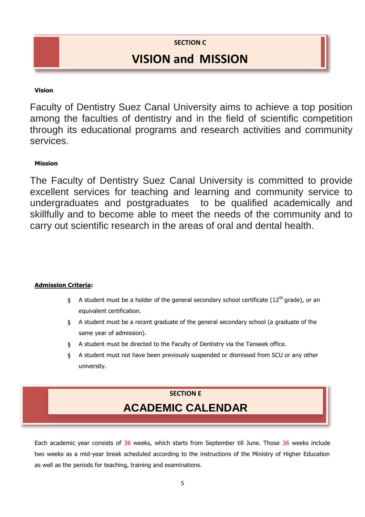**SECTION C**

# **VISION and MISSION**

## **Vision**

Faculty of Dentistry Suez Canal University aims to achieve a top position among the faculties of dentistry and in the field of scientific competition through its educational programs and research activities and community services.

## **Mission**

The Faculty of Dentistry Suez Canal University is committed to provide excellent services for teaching and learning and community service to undergraduates and postgraduates to be qualified academically and skillfully and to become able to meet the needs of the community and to carry out scientific research in the areas of oral and dental health.

### **Admission Criteria:**

- § A student must be a holder of the general secondary school certificate ( $12<sup>th</sup>$  grade), or an equivalent certification.
- § A student must be a recent graduate of the general secondary school (a graduate of the same year of admission).
- § A student must be directed to the Faculty of Dentistry via the Tanseek office.
- § A student must not have been previously suspended or dismissed from SCU or any other university.

# **SECTION E ACADEMIC CALENDAR**

Each academic year consists of 36 weeks, which starts from September till June. Those 36 weeks include two weeks as a mid-year break scheduled according to the instructions of the Ministry of Higher Education as well as the periods for teaching, training and examinations.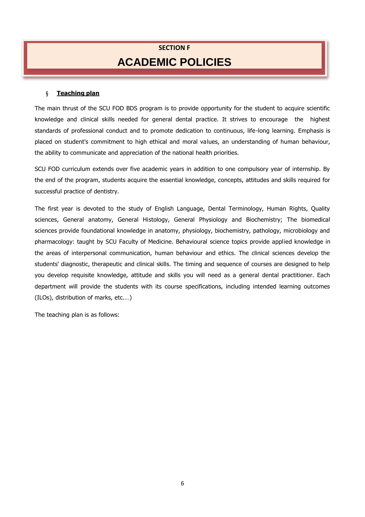# **SECTION F ACADEMIC POLICIES**

### § **Teaching plan**

The main thrust of the SCU FOD BDS program is to provide opportunity for the student to acquire scientific knowledge and clinical skills needed for general dental practice. It strives to encourage the highest standards of professional conduct and to promote dedication to continuous, life-long learning. Emphasis is placed on student's commitment to high ethical and moral values, an understanding of human behaviour, the ability to communicate and appreciation of the national health priorities.

SCU FOD curriculum extends over five academic years in addition to one compulsory year of internship. By the end of the program, students acquire the essential knowledge, concepts, attitudes and skills required for successful practice of dentistry.

The first year is devoted to the study of English Language, Dental Terminology, Human Rights, Quality sciences, General anatomy, General Histology, General Physiology and Biochemistry; The biomedical sciences provide foundational knowledge in anatomy, physiology, biochemistry, pathology, microbiology and pharmacology: taught by SCU Faculty of Medicine. Behavioural science topics provide applied knowledge in the areas of interpersonal communication, human behaviour and ethics. The clinical sciences develop the students' diagnostic, therapeutic and clinical skills. The timing and sequence of courses are designed to help you develop requisite knowledge, attitude and skills you will need as a general dental practitioner. Each department will provide the students with its course specifications, including intended learning outcomes (ILOs), distribution of marks, etc.…)

The teaching plan is as follows: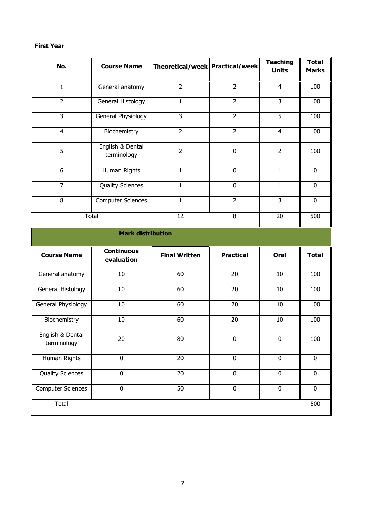## **First Year**

| No.                             | <b>Course Name</b>              | Theoretical/week Practical/week |                  | <b>Teaching</b><br><b>Units</b> | <b>Total</b><br><b>Marks</b> |
|---------------------------------|---------------------------------|---------------------------------|------------------|---------------------------------|------------------------------|
| $\mathbf{1}$                    | General anatomy                 | $\overline{2}$                  | $\overline{2}$   | $\overline{4}$                  | 100                          |
| $\overline{2}$                  | General Histology               | $\mathbf{1}$                    | $\overline{2}$   | $\overline{3}$                  | 100                          |
| $\overline{3}$                  | General Physiology              | 3                               | $\overline{2}$   | 5                               | 100                          |
| $\overline{4}$                  | Biochemistry                    | $\overline{2}$                  | $\overline{2}$   | $\overline{4}$                  | 100                          |
| 5                               | English & Dental<br>terminology | $\overline{2}$                  | $\mathbf 0$      | $\overline{2}$                  | 100                          |
| $\boldsymbol{6}$                | Human Rights                    | $\mathbf{1}$                    | $\mathbf 0$      | $\mathbf{1}$                    | $\mathbf 0$                  |
| $\overline{7}$                  | <b>Quality Sciences</b>         | $\mathbf{1}$                    | $\mathbf 0$      | $\mathbf{1}$                    | $\mathbf 0$                  |
| 8                               | <b>Computer Sciences</b>        | $\mathbf{1}$                    | $\overline{2}$   | $\overline{3}$                  | $\mathbf 0$                  |
|                                 | <b>Total</b>                    | 12                              | 8                | 20                              | 500                          |
|                                 | <b>Mark distribution</b>        |                                 |                  |                                 |                              |
| <b>Course Name</b>              | <b>Continuous</b><br>evaluation | <b>Final Written</b>            | <b>Practical</b> | Oral                            | <b>Total</b>                 |
| General anatomy                 | 10                              | 60                              | 20               | 10                              | 100                          |
| General Histology               | 10                              | 60                              | 20               | 10                              | 100                          |
| General Physiology              | 10                              | 60                              | 20               | 10                              | 100                          |
| Biochemistry                    | 10                              | 60                              | 20               | $10\,$                          | 100                          |
| English & Dental<br>terminology | 20                              | 80                              | $\pmb{0}$        | $\pmb{0}$                       | 100                          |
| Human Rights                    | $\pmb{0}$                       | 20                              | $\mathbf 0$      | $\mathbf 0$                     | $\mathbf 0$                  |
| <b>Quality Sciences</b>         | $\overline{0}$                  | $\overline{20}$                 | $\mathbf 0$      | $\overline{0}$                  | $\mathbf 0$                  |
| <b>Computer Sciences</b>        | $\pmb{0}$                       | 50                              | $\pmb{0}$        | $\pmb{0}$                       | $\mathbf 0$                  |
| Total                           |                                 |                                 |                  |                                 | 500                          |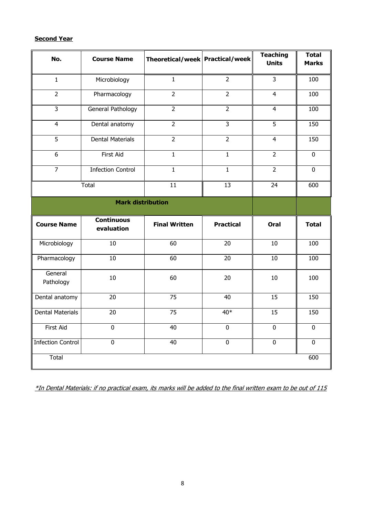## **Second Year**

| No.                      | <b>Course Name</b>              | Theoretical/week   Practical/week |                  | <b>Teaching</b><br><b>Units</b> | <b>Total</b><br><b>Marks</b> |
|--------------------------|---------------------------------|-----------------------------------|------------------|---------------------------------|------------------------------|
|                          |                                 |                                   |                  |                                 |                              |
| $\mathbf 1$              | Microbiology                    | $\mathbf{1}$                      | $\overline{2}$   | 3                               | 100                          |
| $\overline{2}$           | Pharmacology                    | $\overline{2}$                    | $\overline{2}$   | $\overline{4}$                  | 100                          |
| $\overline{3}$           | General Pathology               | $\overline{2}$                    | $\overline{2}$   | $\overline{4}$                  | 100                          |
| $\overline{4}$           | Dental anatomy                  | $\overline{2}$                    | $\overline{3}$   | 5                               | 150                          |
| $\overline{5}$           | <b>Dental Materials</b>         | $\overline{2}$                    | $\overline{2}$   | $\overline{4}$                  | 150                          |
| $\overline{6}$           | First Aid                       | $\overline{1}$                    | $\overline{1}$   | $\overline{2}$                  | $\overline{0}$               |
| $\overline{7}$           | <b>Infection Control</b>        | $\mathbf{1}$                      | $\mathbf 1$      | $\overline{2}$                  | $\mathbf 0$                  |
|                          | Total                           | $\overline{11}$                   | $\overline{13}$  | $\overline{24}$                 | 600                          |
|                          | <b>Mark distribution</b>        |                                   |                  |                                 |                              |
| <b>Course Name</b>       | <b>Continuous</b><br>evaluation | <b>Final Written</b>              | <b>Practical</b> | Oral                            | <b>Total</b>                 |
| Microbiology             | 10                              | 60                                | 20               | 10                              | 100                          |
| Pharmacology             | 10                              | 60                                | 20               | 10                              | 100                          |
| General<br>Pathology     | $10\,$                          | 60                                | 20               | 10                              | 100                          |
| Dental anatomy           | 20                              | 75                                | 40               | 15                              | 150                          |
| <b>Dental Materials</b>  | 20                              | $\overline{75}$                   | $40*$            | 15                              | 150                          |
| First Aid                | $\mathbf 0$                     | 40                                | $\mathbf 0$      | $\mathbf 0$                     | $\mathbf 0$                  |
| <b>Infection Control</b> | $\mathbf 0$                     | 40                                | $\mathbf 0$      | $\mathbf 0$                     | $\mathbf 0$                  |
| Total                    |                                 |                                   |                  |                                 | 600                          |

\*In Dental Materials: if no practical exam, its marks will be added to the final written exam to be out of 115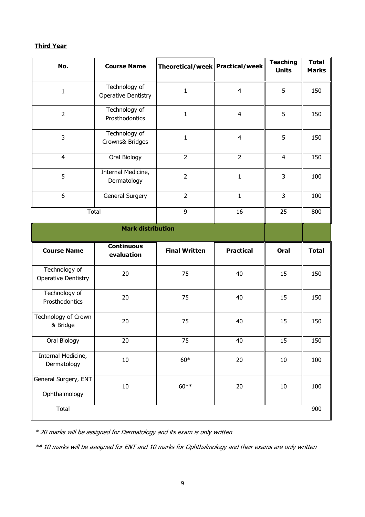## **Third Year**

| No.                                         | <b>Course Name</b>                          | Theoretical/week   Practical/week |                  | <b>Teaching</b><br><b>Units</b> | <b>Total</b><br><b>Marks</b> |
|---------------------------------------------|---------------------------------------------|-----------------------------------|------------------|---------------------------------|------------------------------|
| $\mathbf{1}$                                | Technology of<br><b>Operative Dentistry</b> | $\mathbf{1}$                      | $\overline{4}$   | 5                               | 150                          |
| $\overline{2}$                              | Technology of<br>Prosthodontics             | $\mathbf{1}$                      | $\overline{4}$   | 5                               | 150                          |
| 3                                           | Technology of<br>Crowns& Bridges            | $\mathbf{1}$                      | $\overline{4}$   | 5                               | 150                          |
| $\overline{4}$                              | Oral Biology                                | $\overline{2}$                    | $\overline{2}$   | $\overline{4}$                  | 150                          |
| 5                                           | Internal Medicine,<br>Dermatology           | $\overline{2}$                    | $\mathbf{1}$     | 3                               | 100                          |
| 6                                           | General Surgery                             | $\overline{2}$                    | $\mathbf{1}$     | 3                               | 100                          |
| Total                                       |                                             | 9                                 | 16               | 25                              | 800                          |
|                                             | <b>Mark distribution</b>                    |                                   |                  |                                 |                              |
|                                             |                                             |                                   |                  |                                 |                              |
| <b>Course Name</b>                          | <b>Continuous</b><br>evaluation             | <b>Final Written</b>              | <b>Practical</b> | Oral                            | <b>Total</b>                 |
| Technology of<br><b>Operative Dentistry</b> | 20                                          | 75                                | 40               | 15                              | 150                          |
| Technology of<br>Prosthodontics             | 20                                          | 75                                | 40               | 15                              | 150                          |
| Technology of Crown<br>& Bridge             | 20                                          | 75                                | 40               | 15                              | 150                          |
| Oral Biology                                | 20                                          | 75                                | 40               | 15                              | 150                          |
| Internal Medicine,<br>Dermatology           | 10                                          | $60*$                             | $20\,$           | 10                              | 100                          |
| General Surgery, ENT<br>Ophthalmology       | $10\,$                                      | $60**$                            | $20\,$           | 10                              | 100                          |

\* 20 marks will be assigned for Dermatology and its exam is only written

\*\* 10 marks will be assigned for ENT and 10 marks for Ophthalmology and their exams are only written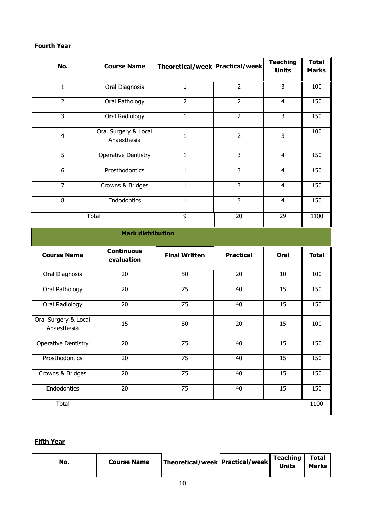## **Fourth Year**

| No.                                 | <b>Course Name</b>                  | Theoretical/week   Practical/week |                  | <b>Teaching</b><br><b>Units</b> | <b>Total</b><br><b>Marks</b> |
|-------------------------------------|-------------------------------------|-----------------------------------|------------------|---------------------------------|------------------------------|
| $\mathbf{1}$                        | Oral Diagnosis                      | $\mathbf{1}$                      | $\overline{2}$   | 3                               | 100                          |
| $\overline{2}$                      | Oral Pathology                      | $\overline{2}$                    | $\overline{2}$   | $\overline{4}$                  | 150                          |
| 3                                   | Oral Radiology                      | $\mathbf{1}$                      | $\overline{2}$   | $\mathbf{3}$                    | 150                          |
| $\overline{4}$                      | Oral Surgery & Local<br>Anaesthesia | $\mathbf{1}$                      | $\overline{2}$   | 3                               | 100                          |
| 5                                   | <b>Operative Dentistry</b>          | $\mathbf{1}$                      | 3                | $\overline{4}$                  | 150                          |
| 6                                   | Prosthodontics                      | 1                                 | 3                | $\overline{4}$                  | 150                          |
| $\overline{7}$                      | Crowns & Bridges                    | $\mathbf{1}$                      | 3                | $\overline{4}$                  | 150                          |
| 8                                   | Endodontics                         | $\mathbf{1}$                      | $\overline{3}$   | $\overline{4}$                  | 150                          |
| Total                               |                                     | 9                                 | 20               | 29                              | 1100                         |
|                                     | <b>Mark distribution</b>            |                                   |                  |                                 |                              |
| <b>Course Name</b>                  | <b>Continuous</b><br>evaluation     | <b>Final Written</b>              | <b>Practical</b> | Oral                            | <b>Total</b>                 |
| Oral Diagnosis                      | 20                                  | 50                                | 20               | 10                              | 100                          |
| Oral Pathology                      | 20                                  | 75                                | 40               | 15                              | 150                          |
| Oral Radiology                      | 20                                  | 75                                | 40               | 15                              | 150                          |
| Oral Surgery & Local<br>Anaesthesia | 15                                  | 50                                | 20               | 15                              | 100                          |
| <b>Operative Dentistry</b>          | 20                                  | 75                                | 40               | 15                              | 150                          |
| Prosthodontics                      | $\overline{20}$                     | 75                                | 40               | 15                              | 150                          |
| Crowns & Bridges                    | 20                                  | 75                                | 40               | 15                              | 150                          |
| Endodontics                         | 20                                  | 75                                | 40               | 15                              | 150                          |
| Total                               |                                     |                                   |                  |                                 | 1100                         |

# **Fifth Year**

|--|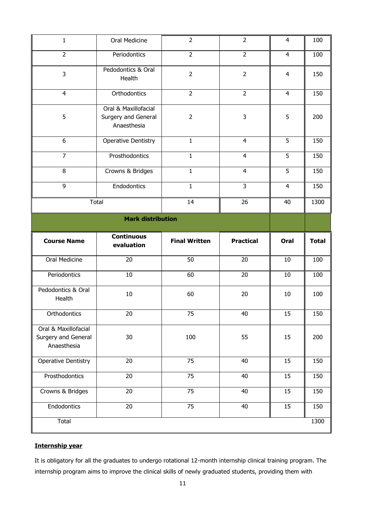| $\mathbf{1}$                                               | Oral Medicine                                              | $\overline{2}$       | $\overline{2}$   | 4              | 100          |
|------------------------------------------------------------|------------------------------------------------------------|----------------------|------------------|----------------|--------------|
| $\overline{2}$                                             | Periodontics                                               | $\overline{2}$       | $\overline{2}$   | 4              | 100          |
| 3                                                          | Pedodontics & Oral<br>Health                               | $\overline{2}$       | $\overline{2}$   | $\overline{4}$ | 150          |
| $\overline{4}$                                             | Orthodontics                                               | $\overline{2}$       | $\overline{2}$   | 4              | 150          |
| 5                                                          | Oral & Maxillofacial<br>Surgery and General<br>Anaesthesia | $\overline{2}$       | 3                | 5              | 200          |
| 6                                                          | <b>Operative Dentistry</b>                                 | $\mathbf{1}$         | $\overline{4}$   | 5              | 150          |
| $\overline{7}$                                             | Prosthodontics                                             | $\mathbf{1}$         | 4                | 5              | 150          |
| 8                                                          | Crowns & Bridges                                           | $\mathbf{1}$         | $\overline{4}$   | 5              | 150          |
| 9                                                          | Endodontics                                                | $\mathbf{1}$         | 3                | $\overline{4}$ | 150          |
|                                                            | Total                                                      | 14                   | 26               | 40             | 1300         |
|                                                            | <b>Mark distribution</b>                                   |                      |                  |                |              |
|                                                            |                                                            |                      |                  |                |              |
| <b>Course Name</b>                                         | <b>Continuous</b><br>evaluation                            | <b>Final Written</b> | <b>Practical</b> | Oral           | <b>Total</b> |
| Oral Medicine                                              | 20                                                         | 50                   | 20               | 10             | 100          |
| Periodontics                                               | 10                                                         | 60                   | 20               | 10             | 100          |
| Pedodontics & Oral<br>Health                               | 10                                                         | 60                   | 20               | 10             | 100          |
| Orthodontics                                               | 20                                                         | 75                   | 40               | 15             | 150          |
| Oral & Maxillofacial<br>Surgery and General<br>Anaesthesia | 30                                                         | 100                  | 55               | 15             | 200          |
| <b>Operative Dentistry</b>                                 | 20                                                         | 75                   | 40               | 15             | 150          |
| Prosthodontics                                             | 20                                                         | $\overline{75}$      | 40               | 15             | 150          |
| Crowns & Bridges                                           | 20                                                         | 75                   | 40               | 15             | 150          |
| Endodontics                                                | 20                                                         | 75                   | 40               | 15             | 150          |

# **Internship year**

It is obligatory for all the graduates to undergo rotational 12-month internship clinical training program. The internship program aims to improve the clinical skills of newly graduated students, providing them with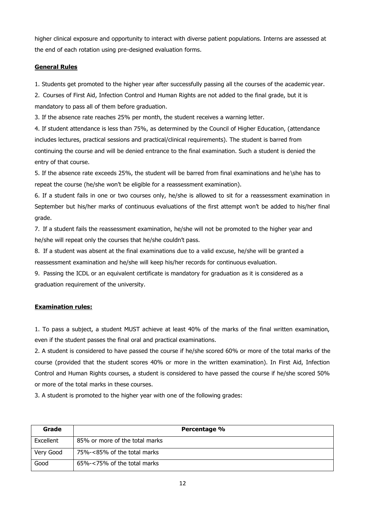higher clinical exposure and opportunity to interact with diverse patient populations. Interns are assessed at the end of each rotation using pre-designed evaluation forms.

### **General Rules**

1. Students get promoted to the higher year after successfully passing all the courses of the academic year.

2. Courses of First Aid, Infection Control and Human Rights are not added to the final grade, but it is mandatory to pass all of them before graduation.

3. If the absence rate reaches 25% per month, the student receives a warning letter.

4. If student attendance is less than 75%, as determined by the Council of Higher Education, (attendance includes lectures, practical sessions and practical/clinical requirements). The student is barred from continuing the course and will be denied entrance to the final examination. Such a student is denied the entry of that course.

5. If the absence rate exceeds 25%, the student will be barred from final examinations and he\she has to repeat the course (he/she won't be eligible for a reassessment examination).

6. If a student fails in one or two courses only, he/she is allowed to sit for a reassessment examination in September but his/her marks of continuous evaluations of the first attempt won't be added to his/her final grade.

7. If a student fails the reassessment examination, he/she will not be promoted to the higher year and he/she will repeat only the courses that he/she couldn't pass.

8. If a student was absent at the final examinations due to a valid excuse, he/she will be granted a reassessment examination and he/she will keep his/her records for continuous evaluation.

9. Passing the ICDL or an equivalent certificate is mandatory for graduation as it is considered as a graduation requirement of the university.

### **Examination rules:**

1. To pass a subject, a student MUST achieve at least 40% of the marks of the final written examination, even if the student passes the final oral and practical examinations.

2. A student is considered to have passed the course if he/she scored 60% or more of the total marks of the course (provided that the student scores 40% or more in the written examination). In First Aid, Infection Control and Human Rights courses, a student is considered to have passed the course if he/she scored 50% or more of the total marks in these courses.

3. A student is promoted to the higher year with one of the following grades:

| Grade     | Percentage %                    |
|-----------|---------------------------------|
| Excellent | 85% or more of the total marks  |
| Very Good | 75%-<85% of the total marks     |
| Good      | $65\% - 5\%$ of the total marks |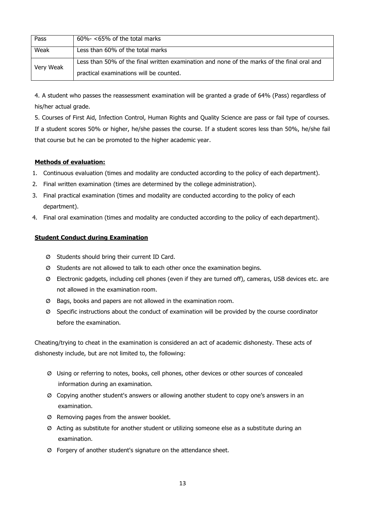| Pass      | $60\% - 65\%$ of the total marks                                                           |
|-----------|--------------------------------------------------------------------------------------------|
| Weak      | Less than 60% of the total marks                                                           |
| Very Weak | Less than 50% of the final written examination and none of the marks of the final oral and |
|           | practical examinations will be counted.                                                    |

4. A student who passes the reassessment examination will be granted a grade of 64% (Pass) regardless of his/her actual grade.

5. Courses of First Aid, Infection Control, Human Rights and Quality Science are pass or fail type of courses. If a student scores 50% or higher, he/she passes the course. If a student scores less than 50%, he/she fail that course but he can be promoted to the higher academic year.

### **Methods of evaluation:**

- 1. Continuous evaluation (times and modality are conducted according to the policy of each department).
- 2. Final written examination (times are determined by the college administration).
- 3. Final practical examination (times and modality are conducted according to the policy of each department).
- 4. Final oral examination (times and modality are conducted according to the policy of each department).

### **Student Conduct during Examination**

- Ø Students should bring their current ID Card.
- Ø Students are not allowed to talk to each other once the examination begins.
- Ø Electronic gadgets, including cell phones (even if they are turned off), cameras, USB devices etc. are not allowed in the examination room.
- Ø Bags, books and papers are not allowed in the examination room.
- Ø Specific instructions about the conduct of examination will be provided by the course coordinator before the examination.

Cheating/trying to cheat in the examination is considered an act of academic dishonesty. These acts of dishonesty include, but are not limited to, the following:

- Ø Using or referring to notes, books, cell phones, other devices or other sources of concealed information during an examination.
- Ø Copying another student's answers or allowing another student to copy one's answers in an examination.
- Ø Removing pages from the answer booklet.
- Ø Acting as substitute for another student or utilizing someone else as a substitute during an examination.
- Ø Forgery of another student's signature on the attendance sheet.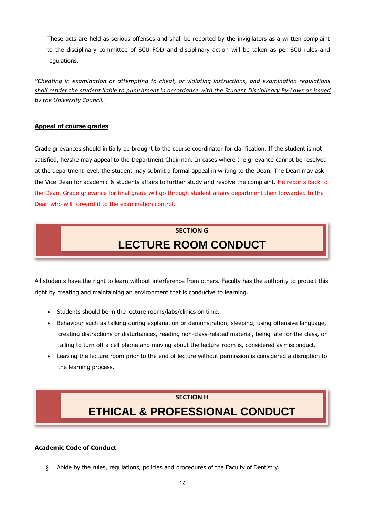These acts are held as serious offenses and shall be reported by the invigilators as a written complaint to the disciplinary committee of SCU FOD and disciplinary action will be taken as per SCU rules and regulations.

*"Cheating in examination or attempting to cheat, or violating instructions, and examination regulations shall render the student liable to punishment in accordance with the Student Disciplinary By-Laws as issued by the University Council."*

### **Appeal of course grades**

Grade grievances should initially be brought to the course coordinator for clarification. If the student is not satisfied, he/she may appeal to the Department Chairman. In cases where the grievance cannot be resolved at the department level, the student may submit a formal appeal in writing to the Dean. The Dean may ask the Vice Dean for academic & students affairs to further study and resolve the complaint. He reports back to the Dean. Grade grievance for final grade will go through student affairs department then forwarded to the Dean who will forward it to the examination control.

# **SECTION G LECTURE ROOM CONDUCT**

All students have the right to learn without interference from others. Faculty has the authority to protect this right by creating and maintaining an environment that is conducive to learning.

- Students should be in the lecture rooms/labs/clinics on time.
- Behaviour such as talking during explanation or demonstration, sleeping, using offensive language, creating distractions or disturbances, reading non-class-related material, being late for the class, or failing to turn off a cell phone and moving about the lecture room is, considered as misconduct.
- Leaving the lecture room prior to the end of lecture without permission is considered a disruption to the learning process.

## **SECTION H**

# **ETHICAL & PROFESSIONAL CONDUCT**

### **Academic Code of Conduct**

§ Abide by the rules, regulations, policies and procedures of the Faculty of Dentistry.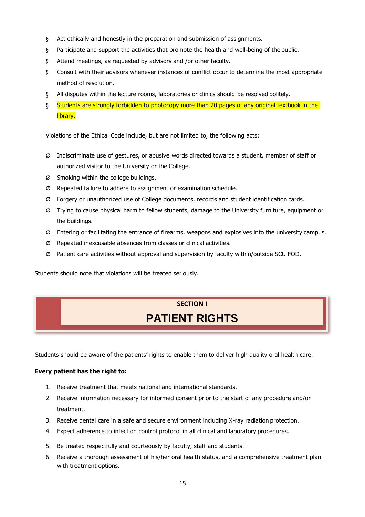- § Act ethically and honestly in the preparation and submission of assignments.
- § Participate and support the activities that promote the health and well-being of the public.
- § Attend meetings, as requested by advisors and /or other faculty.
- § Consult with their advisors whenever instances of conflict occur to determine the most appropriate method of resolution.
- § All disputes within the lecture rooms, laboratories or clinics should be resolved politely.
- § Students are strongly forbidden to photocopy more than 20 pages of any original textbook in the library.

Violations of the Ethical Code include, but are not limited to, the following acts:

- Ø Indiscriminate use of gestures, or abusive words directed towards a student, member of staff or authorized visitor to the University or the College.
- Ø Smoking within the college buildings.
- Ø Repeated failure to adhere to assignment or examination schedule.
- Ø Forgery or unauthorized use of College documents, records and student identification cards.
- Ø Trying to cause physical harm to fellow students, damage to the University furniture, equipment or the buildings.
- Ø Entering or facilitating the entrance of firearms, weapons and explosives into the university campus.
- Ø Repeated inexcusable absences from classes or clinical activities.
- Ø Patient care activities without approval and supervision by faculty within/outside SCU FOD.

Students should note that violations will be treated seriously.

# **SECTION I PATIENT RIGHTS**

Students should be aware of the patients' rights to enable them to deliver high quality oral health care.

### **Every patient has the right to:**

- 1. Receive treatment that meets national and international standards.
- 2. Receive information necessary for informed consent prior to the start of any procedure and/or treatment.
- 3. Receive dental care in a safe and secure environment including X-ray radiation protection.
- 4. Expect adherence to infection control protocol in all clinical and laboratory procedures.
- 5. Be treated respectfully and courteously by faculty, staff and students.
- 6. Receive a thorough assessment of his/her oral health status, and a comprehensive treatment plan with treatment options.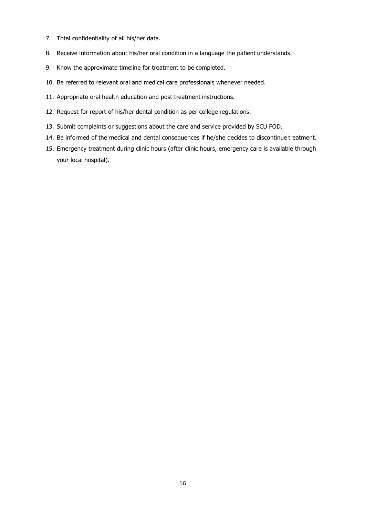- 7. Total confidentiality of all his/her data.
- 8. Receive information about his/her oral condition in a language the patient understands.
- 9. Know the approximate timeline for treatment to be completed.
- 10. Be referred to relevant oral and medical care professionals whenever needed.
- 11. Appropriate oral health education and post treatment instructions.
- 12. Request for report of his/her dental condition as per college regulations.
- 13. Submit complaints or suggestions about the care and service provided by SCU FOD.
- 14. Be informed of the medical and dental consequences if he/she decides to discontinue treatment.
- 15. Emergency treatment during clinic hours (after clinic hours, emergency care is available through your local hospital).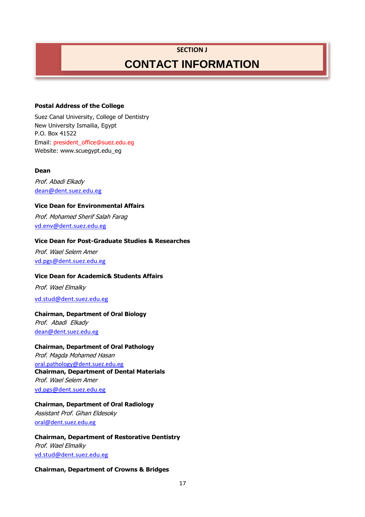### **SECTION J**

# **CONTACT INFORMATION**

### **Postal Address of the College**

Suez Canal University, College of Dentistry New University Ismailia, Egypt P.O. Box 41522 Email: [president\\_office@suez.edu.eg](mailto:president_office@suez.edu.eg) Website: www.scuegypt.edu\_eg

### **Dean**

Prof. Abadi Elkady [dean@dent.suez.edu.eg](mailto:dean@dent.suez.edu.eg)

### **Vice Dean for Environmental Affairs**

Prof. Mohamed Sherif Salah Farag [vd.env@dent.suez.edu.eg](mailto:vd.env@dent.suez.edu.eg)

### **Vice Dean for Post-Graduate Studies & Researches**

Prof. Wael Selem Amer [vd.pgs@dent.suez.edu.eg](mailto:vd.pgs@dent.suez.edu.eg)

### **Vice Dean for Academic& Students Affairs**

Prof. Wael Elmalky

[vd.stud@dent.suez.edu.eg](mailto:vd.stud@dent.suez.edu.eg)

### **Chairman, Department of Oral Biology**

Prof. Abadi Elkady [dean@dent.suez.edu.eg](mailto:dean@dent.suez.edu.eg)

### **Chairman, Department of Oral Pathology**

Prof. Magda Mohamed Hasan [oral.pathology@dent.suez.edu.eg](mailto:oral.pathology@dent.suez.edu.eg) **Chairman, Department of Dental Materials** Prof. Wael Selem Amer [vd.pgs@dent.suez.edu.eg](mailto:vd.pgs@dent.suez.edu.eg)

### **Chairman, Department of Oral Radiology**

Assistant Prof. Gihan Eldesoky [oral@dent.suez.edu.eg](mailto:oral@dent.suez.edu.eg)

**Chairman, Department of Restorative Dentistry** Prof. Wael Elmalky [vd.stud@dent.suez.edu.eg](mailto:vd.stud@dent.suez.edu.eg)

### **Chairman, Department of Crowns & Bridges**